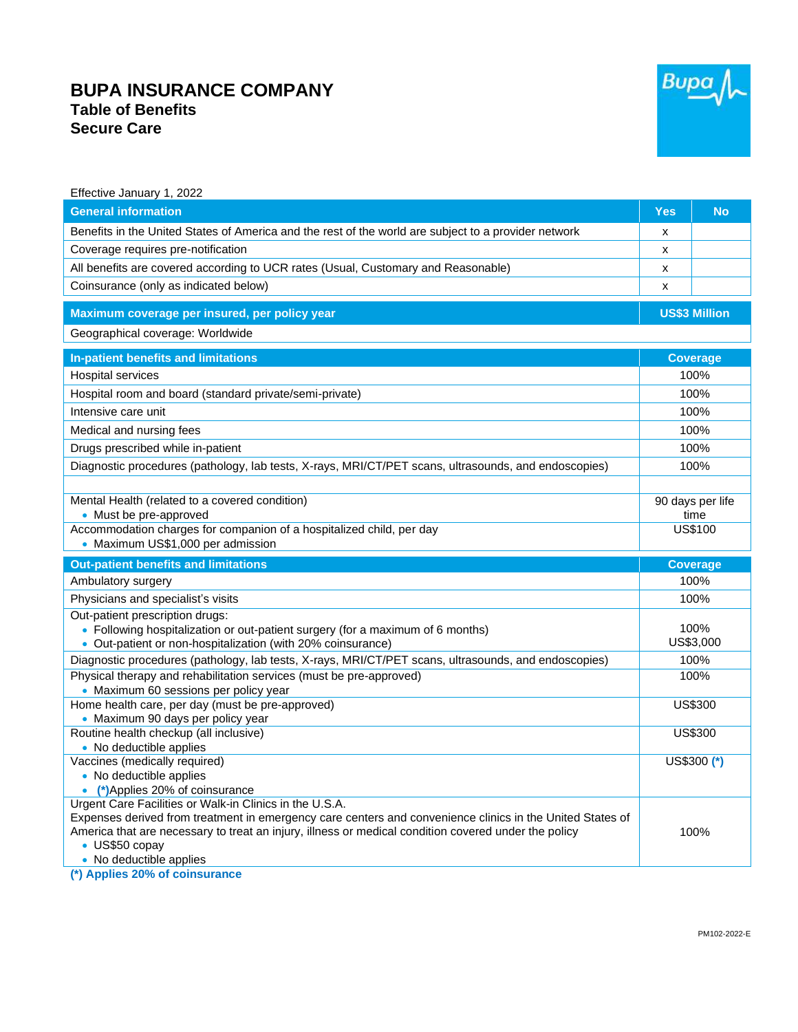## **BUPA INSURANCE COMPANY Table of Benefits Secure Care**



| Effective January 1, 2022                                                                                                                                                        |                                            |                   |
|----------------------------------------------------------------------------------------------------------------------------------------------------------------------------------|--------------------------------------------|-------------------|
| <b>General information</b>                                                                                                                                                       | <b>Yes</b>                                 | <b>No</b>         |
| Benefits in the United States of America and the rest of the world are subject to a provider network                                                                             | X                                          |                   |
| Coverage requires pre-notification                                                                                                                                               | X                                          |                   |
| All benefits are covered according to UCR rates (Usual, Customary and Reasonable)                                                                                                | x                                          |                   |
| Coinsurance (only as indicated below)                                                                                                                                            | X                                          |                   |
| Maximum coverage per insured, per policy year                                                                                                                                    | <b>US\$3 Million</b>                       |                   |
| Geographical coverage: Worldwide                                                                                                                                                 |                                            |                   |
| In-patient benefits and limitations                                                                                                                                              |                                            | <b>Coverage</b>   |
| Hospital services                                                                                                                                                                | 100%                                       |                   |
| Hospital room and board (standard private/semi-private)                                                                                                                          | 100%                                       |                   |
| Intensive care unit                                                                                                                                                              | 100%                                       |                   |
| Medical and nursing fees                                                                                                                                                         |                                            |                   |
|                                                                                                                                                                                  | 100%                                       |                   |
| Drugs prescribed while in-patient                                                                                                                                                | 100%<br>100%                               |                   |
| Diagnostic procedures (pathology, lab tests, X-rays, MRI/CT/PET scans, ultrasounds, and endoscopies)                                                                             |                                            |                   |
| Mental Health (related to a covered condition)<br>• Must be pre-approved<br>Accommodation charges for companion of a hospitalized child, per day                                 | 90 days per life<br>time<br><b>US\$100</b> |                   |
| • Maximum US\$1,000 per admission                                                                                                                                                |                                            |                   |
| <b>Out-patient benefits and limitations</b>                                                                                                                                      |                                            | <b>Coverage</b>   |
| Ambulatory surgery                                                                                                                                                               |                                            | 100%              |
| Physicians and specialist's visits                                                                                                                                               | 100%                                       |                   |
| Out-patient prescription drugs:<br>• Following hospitalization or out-patient surgery (for a maximum of 6 months)<br>• Out-patient or non-hospitalization (with 20% coinsurance) |                                            | 100%<br>US\$3,000 |
| Diagnostic procedures (pathology, lab tests, X-rays, MRI/CT/PET scans, ultrasounds, and endoscopies)                                                                             |                                            | 100%              |
| Physical therapy and rehabilitation services (must be pre-approved)<br>• Maximum 60 sessions per policy year                                                                     |                                            | 100%              |
| Home health care, per day (must be pre-approved)<br>• Maximum 90 days per policy year                                                                                            |                                            | <b>US\$300</b>    |
| Routine health checkup (all inclusive)                                                                                                                                           |                                            | US\$300           |
|                                                                                                                                                                                  |                                            |                   |
| • No deductible applies<br>Vaccines (medically required)<br>• No deductible applies<br>• (*)Applies 20% of coinsurance                                                           | US\$300 (*)                                |                   |

**(\*) Applies 20% of coinsurance**